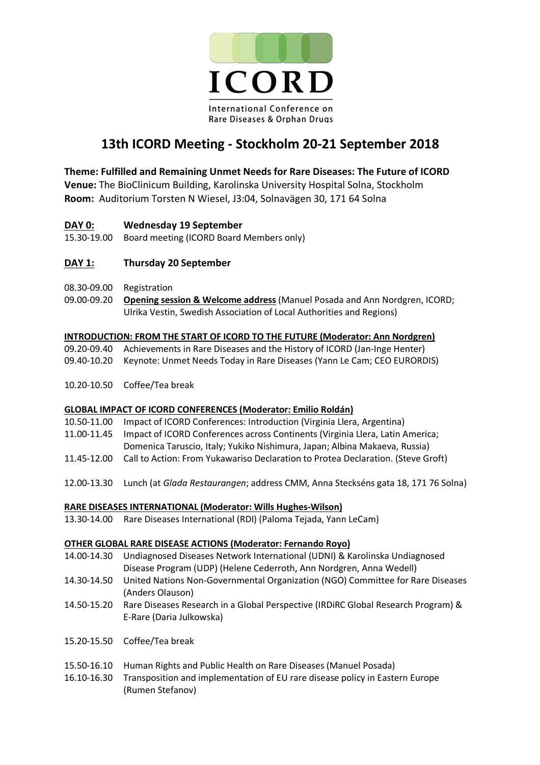

# **13th ICORD Meeting - Stockholm 20-21 September 2018**

# **Theme: Fulfilled and Remaining Unmet Needs for Rare Diseases: The Future of ICORD**

**Venue:** The BioClinicum Building, Karolinska University Hospital Solna, Stockholm **Room:**Auditorium Torsten N Wiesel, J3:04, Solnavägen 30, 171 64 Solna

## **DAY 0: Wednesday 19 September**

15.30-19.00 Board meeting (ICORD Board Members only)

# **DAY 1: Thursday 20 September**

- 08.30-09.00 Registration
- 09.00-09.20 **Opening session & Welcome address** (Manuel Posada and Ann Nordgren, ICORD; Ulrika Vestin, Swedish Association of Local Authorities and Regions)

#### **INTRODUCTION: FROM THE START OF ICORD TO THE FUTURE (Moderator: Ann Nordgren)**

- 09.20-09.40 Achievements in Rare Diseases and the History of ICORD (Jan-Inge Henter)
- 09.40-10.20 Keynote: Unmet Needs Today in Rare Diseases (Yann Le Cam; CEO EURORDIS)
- 10.20-10.50 Coffee/Tea break

#### **GLOBAL IMPACT OF ICORD CONFERENCES (Moderator: Emilio Roldán)**

- 10.50-11.00 Impact of ICORD Conferences: Introduction (Virginia Llera, Argentina)
- 11.00-11.45 Impact of ICORD Conferences across Continents (Virginia Llera, Latin America;
- Domenica Taruscio, Italy; Yukiko Nishimura, Japan; Albina Makaeva, Russia)
- 11.45-12.00 Call to Action: From Yukawariso Declaration to Protea Declaration. (Steve Groft)
- 12.00-13.30 Lunch (at *Glada Restaurangen*; address CMM, Anna Steckséns gata 18, 171 76 Solna)

#### **RARE DISEASES INTERNATIONAL (Moderator: Wills Hughes-Wilson)**

13.30-14.00 Rare Diseases International (RDI) (Paloma Tejada, Yann LeCam)

#### **OTHER GLOBAL RARE DISEASE ACTIONS (Moderator: Fernando Royo)**

- 14.00-14.30 Undiagnosed Diseases Network International (UDNI) & Karolinska Undiagnosed Disease Program (UDP) (Helene Cederroth, Ann Nordgren, Anna Wedell)
- 14.30-14.50 United Nations Non-Governmental Organization (NGO) Committee for Rare Diseases (Anders Olauson)
- 14.50-15.20 Rare Diseases Research in a Global Perspective (IRDiRC Global Research Program) & E-Rare (Daria Julkowska)
- 15.20-15.50 Coffee/Tea break
- 15.50-16.10 Human Rights and Public Health on Rare Diseases (Manuel Posada)
- 16.10-16.30 Transposition and implementation of EU rare disease policy in Eastern Europe (Rumen Stefanov)